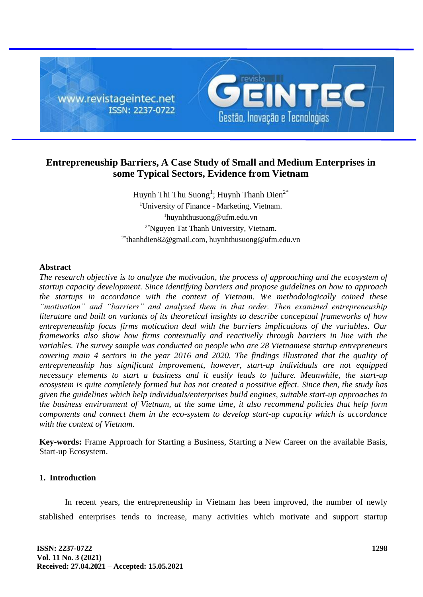

# **Entrepreneuship Barriers, A Case Study of Small and Medium Enterprises in some Typical Sectors, Evidence from Vietnam**

Huynh Thi Thu Suong<sup>1</sup>; Huynh Thanh Dien<sup>2\*</sup> <sup>1</sup>University of Finance - Marketing, Vietnam. <sup>1</sup>huynhthusuong@ufm.edu.vn 2\*Nguyen Tat Thanh University, Vietnam. 2\*thanhdien82@gmail.com, huynhthusuong@ufm.edu.vn

### **Abstract**

*The research objective is to analyze the motivation, the process of approaching and the ecosystem of startup capacity development. Since identifying barriers and propose guidelines on how to approach the startups in accordance with the context of Vietnam. We methodologically coined these "motivation" and "barriers" and analyzed them in that order. Then examined entrepreneuship literature and built on variants of its theoretical insights to describe conceptual frameworks of how entrepreneuship focus firms motication deal with the barriers implications of the variables. Our frameworks also show how firms contextually and reactivelly through barriers in line with the variables. The survey sample was conducted on people who are 28 Vietnamese startup entrepreneurs covering main 4 sectors in the year 2016 and 2020. The findings illustrated that the quality of entrepreneuship has significant improvement, however, start-up individuals are not equipped necessary elements to start a business and it easily leads to failure. Meanwhile, the start-up ecosystem is quite completely formed but has not created a possitive effect. Since then, the study has given the guidelines which help individuals/enterprises build engines, suitable start-up approaches to the business environment of Vietnam, at the same time, it also recommend policies that help form components and connect them in the eco-system to develop start-up capacity which is accordance with the context of Vietnam.*

**Key-words:** Frame Approach for Starting a Business, Starting a New Career on the available Basis, Start-up Ecosystem.

# **1. Introduction**

In recent years, the entrepreneuship in Vietnam has been improved, the number of newly stablished enterprises tends to increase, many activities which motivate and support startup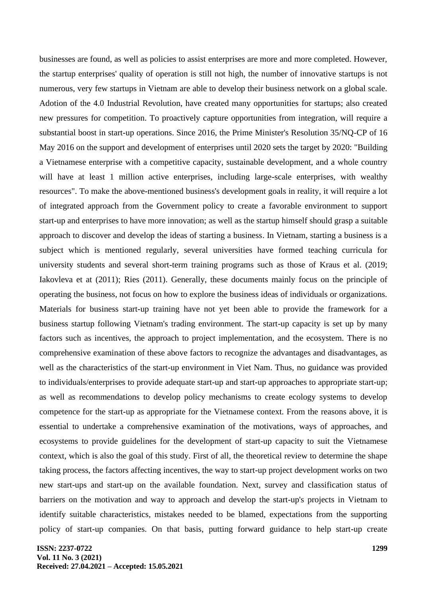businesses are found, as well as policies to assist enterprises are more and more completed. However, the startup enterprises' quality of operation is still not high, the number of innovative startups is not numerous, very few startups in Vietnam are able to develop their business network on a global scale. Adotion of the 4.0 Industrial Revolution, have created many opportunities for startups; also created new pressures for competition. To proactively capture opportunities from integration, will require a substantial boost in start-up operations. Since 2016, the Prime Minister's Resolution 35/NQ-CP of 16 May 2016 on the support and development of enterprises until 2020 sets the target by 2020: "Building a Vietnamese enterprise with a competitive capacity, sustainable development, and a whole country will have at least 1 million active enterprises, including large-scale enterprises, with wealthy resources". To make the above-mentioned business's development goals in reality, it will require a lot of integrated approach from the Government policy to create a favorable environment to support start-up and enterprises to have more innovation; as well as the startup himself should grasp a suitable approach to discover and develop the ideas of starting a business. In Vietnam, starting a business is a subject which is mentioned regularly, several universities have formed teaching curricula for university students and several short-term training programs such as those of Kraus et al. (2019; Iakovleva et at (2011); Ries (2011). Generally, these documents mainly focus on the principle of operating the business, not focus on how to explore the business ideas of individuals or organizations. Materials for business start-up training have not yet been able to provide the framework for a business startup following Vietnam's trading environment. The start-up capacity is set up by many factors such as incentives, the approach to project implementation, and the ecosystem. There is no comprehensive examination of these above factors to recognize the advantages and disadvantages, as well as the characteristics of the start-up environment in Viet Nam. Thus, no guidance was provided to individuals/enterprises to provide adequate start-up and start-up approaches to appropriate start-up; as well as recommendations to develop policy mechanisms to create ecology systems to develop competence for the start-up as appropriate for the Vietnamese context. From the reasons above, it is essential to undertake a comprehensive examination of the motivations, ways of approaches, and ecosystems to provide guidelines for the development of start-up capacity to suit the Vietnamese context, which is also the goal of this study. First of all, the theoretical review to determine the shape taking process, the factors affecting incentives, the way to start-up project development works on two new start-ups and start-up on the available foundation. Next, survey and classification status of barriers on the motivation and way to approach and develop the start-up's projects in Vietnam to identify suitable characteristics, mistakes needed to be blamed, expectations from the supporting policy of start-up companies. On that basis, putting forward guidance to help start-up create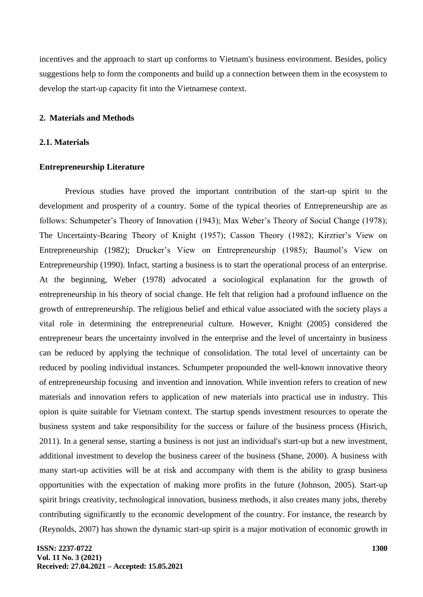incentives and the approach to start up conforms to Vietnam's business environment. Besides, policy suggestions help to form the components and build up a connection between them in the ecosystem to develop the start-up capacity fit into the Vietnamese context.

#### **2. Materials and Methods**

#### **2.1. Materials**

# **Entrepreneurship Literature**

Previous studies have proved the important contribution of the start-up spirit to the development and prosperity of a country. Some of the typical theories of Entrepreneurship are as follows: Schumpeter's Theory of Innovation (1943); Max Weber's Theory of Social Change (1978); The Uncertainty-Bearing Theory of Knight (1957); Casson Theory (1982); Kirzrier's View on Entrepreneurship (1982); Drucker's View on Entrepreneurship (1985); Baumol's View on Entrepreneurship (1990). Infact, starting a business is to start the operational process of an enterprise. At the beginning, Weber (1978) advocated a sociological explanation for the growth of entrepreneurship in his theory of social change. He felt that religion had a profound influence on the growth of entrepreneurship. The religious belief and ethical value associated with the society plays a vital role in determining the entrepreneurial culture. However, Knight (2005) considered the entrepreneur bears the uncertainty involved in the enterprise and the level of uncertainty in business can be reduced by applying the technique of consolidation. The total level of uncertainty can be reduced by pooling individual instances. Schumpeter propounded the well-known innovative theory of entrepreneurship focusing and invention and innovation. While invention refers to creation of new materials and innovation refers to application of new materials into practical use in industry. This opion is quite suitable for Vietnam context. The startup spends investment resources to operate the business system and take responsibility for the success or failure of the business process (Hisrich, 2011). In a general sense, starting a business is not just an individual's start-up but a new investment, additional investment to develop the business career of the business (Shane, 2000). A business with many start-up activities will be at risk and accompany with them is the ability to grasp business opportunities with the expectation of making more profits in the future (Johnson, 2005). Start-up spirit brings creativity, technological innovation, business methods, it also creates many jobs, thereby contributing significantly to the economic development of the country. For instance, the research by (Reynolds, 2007) has shown the dynamic start-up spirit is a major motivation of economic growth in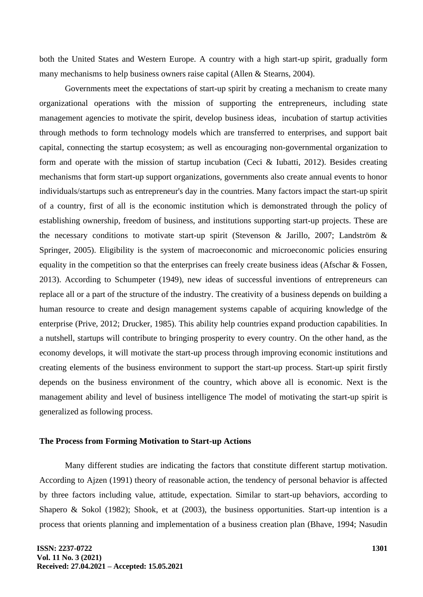both the United States and Western Europe. A country with a high start-up spirit, gradually form many mechanisms to help business owners raise capital (Allen & Stearns, 2004).

Governments meet the expectations of start-up spirit by creating a mechanism to create many organizational operations with the mission of supporting the entrepreneurs, including state management agencies to motivate the spirit, develop business ideas, incubation of startup activities through methods to form technology models which are transferred to enterprises, and support bait capital, connecting the startup ecosystem; as well as encouraging non-governmental organization to form and operate with the mission of startup incubation (Ceci & Iubatti, 2012). Besides creating mechanisms that form start-up support organizations, governments also create annual events to honor individuals/startups such as entrepreneur's day in the countries. Many factors impact the start-up spirit of a country, first of all is the economic institution which is demonstrated through the policy of establishing ownership, freedom of business, and institutions supporting start-up projects. These are the necessary conditions to motivate start-up spirit (Stevenson & Jarillo, 2007; Landström & Springer, 2005). Eligibility is the system of macroeconomic and microeconomic policies ensuring equality in the competition so that the enterprises can freely create business ideas (Afschar & Fossen, 2013). According to Schumpeter (1949), new ideas of successful inventions of entrepreneurs can replace all or a part of the structure of the industry. The creativity of a business depends on building a human resource to create and design management systems capable of acquiring knowledge of the enterprise (Prive, 2012; Drucker, 1985). This ability help countries expand production capabilities. In a nutshell, startups will contribute to bringing prosperity to every country. On the other hand, as the economy develops, it will motivate the start-up process through improving economic institutions and creating elements of the business environment to support the start-up process. Start-up spirit firstly depends on the business environment of the country, which above all is economic. Next is the management ability and level of business intelligence The model of motivating the start-up spirit is generalized as following process.

#### **The Process from Forming Motivation to Start-up Actions**

Many different studies are indicating the factors that constitute different startup motivation. According to Ajzen (1991) theory of reasonable action, the tendency of personal behavior is affected by three factors including value, attitude, expectation. Similar to start-up behaviors, according to Shapero & Sokol (1982); Shook, et at (2003), the business opportunities. Start-up intention is a process that orients planning and implementation of a business creation plan (Bhave, 1994; Nasudin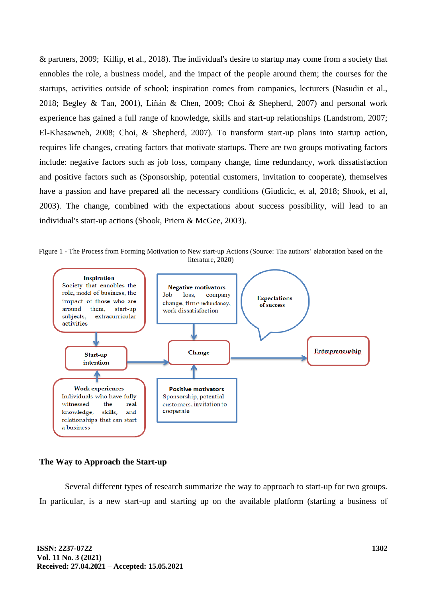& partners, 2009; Killip, et al., 2018). The individual's desire to startup may come from a society that ennobles the role, a business model, and the impact of the people around them; the courses for the startups, activities outside of school; inspiration comes from companies, lecturers (Nasudin et al., 2018; Begley & Tan, 2001), Liñán & Chen, 2009; Choi & Shepherd, 2007) and personal work experience has gained a full range of knowledge, skills and start-up relationships (Landstrom, 2007; El-Khasawneh, 2008; Choi, & Shepherd, 2007). To transform start-up plans into startup action, requires life changes, creating factors that motivate startups. There are two groups motivating factors include: negative factors such as job loss, company change, time redundancy, work dissatisfaction and positive factors such as (Sponsorship, potential customers, invitation to cooperate), themselves have a passion and have prepared all the necessary conditions (Giudicic, et al, 2018; Shook, et al, 2003). The change, combined with the expectations about success possibility, will lead to an individual's start-up actions (Shook, Priem & McGee, 2003).

Figure 1 - The Process from Forming Motivation to New start-up Actions (Source: The authors' elaboration based on the literature, 2020)



# **The Way to Approach the Start-up**

Several different types of research summarize the way to approach to start-up for two groups. In particular, is a new start-up and starting up on the available platform (starting a business of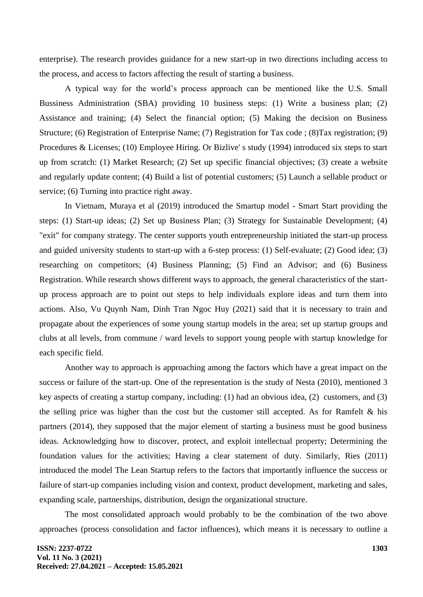enterprise). The research provides guidance for a new start-up in two directions including access to the process, and access to factors affecting the result of starting a business.

A typical way for the world's process approach can be mentioned like the U.S. Small Bussiness Administration (SBA) providing 10 business steps: (1) Write a business plan; (2) Assistance and training; (4) Select the financial option; (5) Making the decision on Business Structure; (6) Registration of Enterprise Name; (7) Registration for Tax code ; (8)Tax registration; (9) Procedures & Licenses; (10) Employee Hiring. Or Bizlive' s study (1994) introduced six steps to start up from scratch: (1) Market Research; (2) Set up specific financial objectives; (3) create a website and regularly update content; (4) Build a list of potential customers; (5) Launch a sellable product or service; (6) Turning into practice right away.

In Vietnam, Muraya et al (2019) introduced the Smartup model - Smart Start providing the steps: (1) Start-up ideas; (2) Set up Business Plan; (3) Strategy for Sustainable Development; (4) "exit" for company strategy. The center supports youth entrepreneurship initiated the start-up process and guided university students to start-up with a 6-step process: (1) Self-evaluate; (2) Good idea; (3) researching on competitors; (4) Business Planning; (5) Find an Advisor; and (6) Business Registration. While research shows different ways to approach, the general characteristics of the startup process approach are to point out steps to help individuals explore ideas and turn them into actions. Also, Vu Quynh Nam, Dinh Tran Ngoc Huy (2021) said that it is necessary to train and propagate about the experiences of some young startup models in the area; set up startup groups and clubs at all levels, from commune / ward levels to support young people with startup knowledge for each specific field.

Another way to approach is approaching among the factors which have a great impact on the success or failure of the start-up. One of the representation is the study of Nesta (2010), mentioned 3 key aspects of creating a startup company, including: (1) had an obvious idea, (2) customers, and (3) the selling price was higher than the cost but the customer still accepted. As for Ramfelt & his partners (2014), they supposed that the major element of starting a business must be good business ideas. Acknowledging how to discover, protect, and exploit intellectual property; Determining the foundation values for the activities; Having a clear statement of duty. Similarly, Ries (2011) introduced the model The Lean Startup refers to the factors that importantly influence the success or failure of start-up companies including vision and context, product development, marketing and sales, expanding scale, partnerships, distribution, design the organizational structure.

The most consolidated approach would probably to be the combination of the two above approaches (process consolidation and factor influences), which means it is necessary to outline a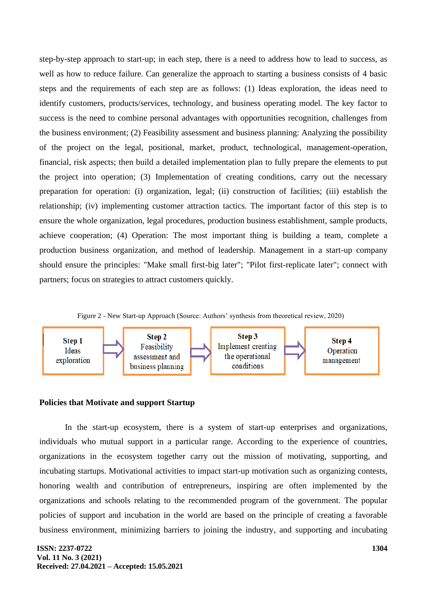step-by-step approach to start-up; in each step, there is a need to address how to lead to success, as well as how to reduce failure. Can generalize the approach to starting a business consists of 4 basic steps and the requirements of each step are as follows: (1) Ideas exploration, the ideas need to identify customers, products/services, technology, and business operating model. The key factor to success is the need to combine personal advantages with opportunities recognition, challenges from the business environment; (2) Feasibility assessment and business planning: Analyzing the possibility of the project on the legal, positional, market, product, technological, management-operation, financial, risk aspects; then build a detailed implementation plan to fully prepare the elements to put the project into operation; (3) Implementation of creating conditions, carry out the necessary preparation for operation: (i) organization, legal; (ii) construction of facilities; (iii) establish the relationship; (iv) implementing customer attraction tactics. The important factor of this step is to ensure the whole organization, legal procedures, production business establishment, sample products, achieve cooperation; (4) Operation: The most important thing is building a team, complete a production business organization, and method of leadership. Management in a start-up company should ensure the principles: "Make small first-big later"; "Pilot first-replicate later"; connect with partners; focus on strategies to attract customers quickly.

Figure 2 - New Start-up Approach (Source: Authors' synthesis from theoretical review, 2020)



### **Policies that Motivate and support Startup**

In the start-up ecosystem, there is a system of start-up enterprises and organizations, individuals who mutual support in a particular range. According to the experience of countries, organizations in the ecosystem together carry out the mission of motivating, supporting, and incubating startups. Motivational activities to impact start-up motivation such as organizing contests, honoring wealth and contribution of entrepreneurs, inspiring are often implemented by the organizations and schools relating to the recommended program of the government. The popular policies of support and incubation in the world are based on the principle of creating a favorable business environment, minimizing barriers to joining the industry, and supporting and incubating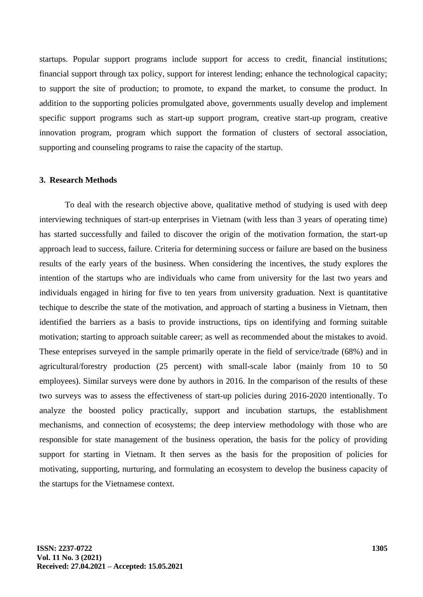startups. Popular support programs include support for access to credit, financial institutions; financial support through tax policy, support for interest lending; enhance the technological capacity; to support the site of production; to promote, to expand the market, to consume the product. In addition to the supporting policies promulgated above, governments usually develop and implement specific support programs such as start-up support program, creative start-up program, creative innovation program, program which support the formation of clusters of sectoral association, supporting and counseling programs to raise the capacity of the startup.

### **3. Research Methods**

To deal with the research objective above, qualitative method of studying is used with deep interviewing techniques of start-up enterprises in Vietnam (with less than 3 years of operating time) has started successfully and failed to discover the origin of the motivation formation, the start-up approach lead to success, failure. Criteria for determining success or failure are based on the business results of the early years of the business. When considering the incentives, the study explores the intention of the startups who are individuals who came from university for the last two years and individuals engaged in hiring for five to ten years from university graduation. Next is quantitative techique to describe the state of the motivation, and approach of starting a business in Vietnam, then identified the barriers as a basis to provide instructions, tips on identifying and forming suitable motivation; starting to approach suitable career; as well as recommended about the mistakes to avoid. These enteprises surveyed in the sample primarily operate in the field of service/trade (68%) and in agricultural/forestry production (25 percent) with small-scale labor (mainly from 10 to 50 employees). Similar surveys were done by authors in 2016. In the comparison of the results of these two surveys was to assess the effectiveness of start-up policies during 2016-2020 intentionally. To analyze the boosted policy practically, support and incubation startups, the establishment mechanisms, and connection of ecosystems; the deep interview methodology with those who are responsible for state management of the business operation, the basis for the policy of providing support for starting in Vietnam. It then serves as the basis for the proposition of policies for motivating, supporting, nurturing, and formulating an ecosystem to develop the business capacity of the startups for the Vietnamese context.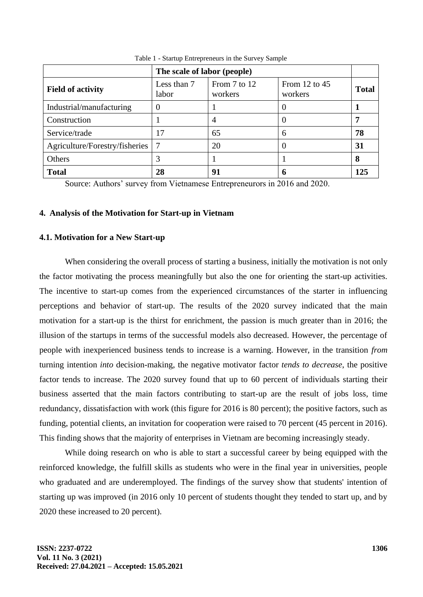|                                | The scale of labor (people) |                         |                            |              |  |
|--------------------------------|-----------------------------|-------------------------|----------------------------|--------------|--|
| <b>Field of activity</b>       | Less than 7<br>labor        | From 7 to 12<br>workers | From 12 to $45$<br>workers | <b>Total</b> |  |
| Industrial/manufacturing       |                             |                         |                            |              |  |
| Construction                   |                             |                         |                            | 7            |  |
| Service/trade                  | 17                          | 65                      | 6                          | 78           |  |
| Agriculture/Forestry/fisheries | $\tau$                      | 20                      |                            | 31           |  |
| Others                         |                             |                         |                            | 8            |  |
| <b>Total</b>                   | 28                          | 91                      | 6                          | 125          |  |

Table 1 - Startup Entrepreneurs in the Survey Sample

Source: Authors' survey from Vietnamese Entrepreneurors in 2016 and 2020.

# **4. Analysis of the Motivation for Start-up in Vietnam**

#### **4.1. Motivation for a New Start-up**

When considering the overall process of starting a business, initially the motivation is not only the factor motivating the process meaningfully but also the one for orienting the start-up activities. The incentive to start-up comes from the experienced circumstances of the starter in influencing perceptions and behavior of start-up. The results of the 2020 survey indicated that the main motivation for a start-up is the thirst for enrichment, the passion is much greater than in 2016; the illusion of the startups in terms of the successful models also decreased. However, the percentage of people with inexperienced business tends to increase is a warning. However, in the transition *from* turning intention *into* decision-making, the negative motivator factor *tends to decrease*, the positive factor tends to increase. The 2020 survey found that up to 60 percent of individuals starting their business asserted that the main factors contributing to start-up are the result of jobs loss, time redundancy, dissatisfaction with work (this figure for 2016 is 80 percent); the positive factors, such as funding, potential clients, an invitation for cooperation were raised to 70 percent (45 percent in 2016). This finding shows that the majority of enterprises in Vietnam are becoming increasingly steady.

While doing research on who is able to start a successful career by being equipped with the reinforced knowledge, the fulfill skills as students who were in the final year in universities, people who graduated and are underemployed. The findings of the survey show that students' intention of starting up was improved (in 2016 only 10 percent of students thought they tended to start up, and by 2020 these increased to 20 percent).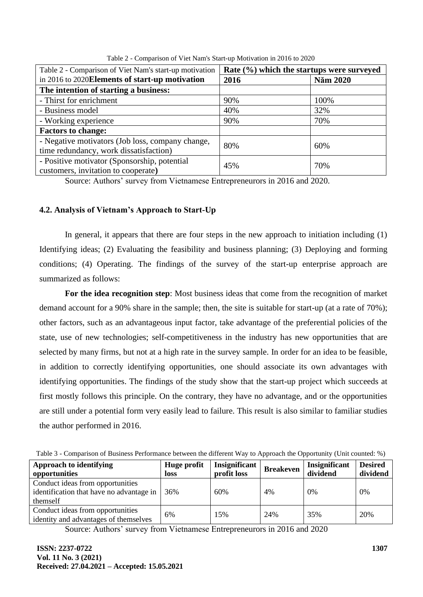| Table 2 - Comparison of Viet Nam's start-up motivation                              | Rate (%) which the startups were surveyed |          |  |  |
|-------------------------------------------------------------------------------------|-------------------------------------------|----------|--|--|
| in 2016 to 2020 Elements of start-up motivation                                     | 2016                                      | Năm 2020 |  |  |
| The intention of starting a business:                                               |                                           |          |  |  |
| - Thirst for enrichment                                                             | 90%                                       | 100%     |  |  |
| - Business model                                                                    | 40%                                       | 32%      |  |  |
| - Working experience                                                                | 90%                                       | 70%      |  |  |
| <b>Factors to change:</b>                                                           |                                           |          |  |  |
| - Negative motivators (Job loss, company change,                                    | 80%                                       | 60%      |  |  |
| time redundancy, work dissatisfaction)                                              |                                           |          |  |  |
| - Positive motivator (Sponsorship, potential<br>customers, invitation to cooperate) | 45%                                       | 70%      |  |  |
|                                                                                     |                                           |          |  |  |

Table 2 - Comparison of Viet Nam's Start-up Motivation in 2016 to 2020

Source: Authors' survey from Vietnamese Entrepreneurors in 2016 and 2020.

# **4.2. Analysis of Vietnam's Approach to Start-Up**

In general, it appears that there are four steps in the new approach to initiation including (1) Identifying ideas; (2) Evaluating the feasibility and business planning; (3) Deploying and forming conditions; (4) Operating. The findings of the survey of the start-up enterprise approach are summarized as follows:

**For the idea recognition step**: Most business ideas that come from the recognition of market demand account for a 90% share in the sample; then, the site is suitable for start-up (at a rate of 70%); other factors, such as an advantageous input factor, take advantage of the preferential policies of the state, use of new technologies; self-competitiveness in the industry has new opportunities that are selected by many firms, but not at a high rate in the survey sample. In order for an idea to be feasible, in addition to correctly identifying opportunities, one should associate its own advantages with identifying opportunities. The findings of the study show that the start-up project which succeeds at first mostly follows this principle. On the contrary, they have no advantage, and or the opportunities are still under a potential form very easily lead to failure. This result is also similar to familiar studies the author performed in 2016.

| Table 3 - Comparison of Business Performance between the different Way to Approach the Opportunity (Unit counted: %) |  |  |  |  |  |
|----------------------------------------------------------------------------------------------------------------------|--|--|--|--|--|
|                                                                                                                      |  |  |  |  |  |

| <b>Approach to identifying</b><br>opportunities                                          | Huge profit<br>loss | Insignificant<br>profit loss | <b>Breakeven</b> | Insignificant<br>dividend | <b>Desired</b><br>dividend |
|------------------------------------------------------------------------------------------|---------------------|------------------------------|------------------|---------------------------|----------------------------|
| Conduct ideas from opportunities<br>identification that have no advantage in<br>themself | 36%                 | 60%                          | 4%               | 0%                        | 0%                         |
| Conduct ideas from opportunities<br>identity and advantages of themselves                | 6%                  | 15%                          | 24%              | 35%                       | 20%                        |

Source: Authors' survey from Vietnamese Entrepreneurors in 2016 and 2020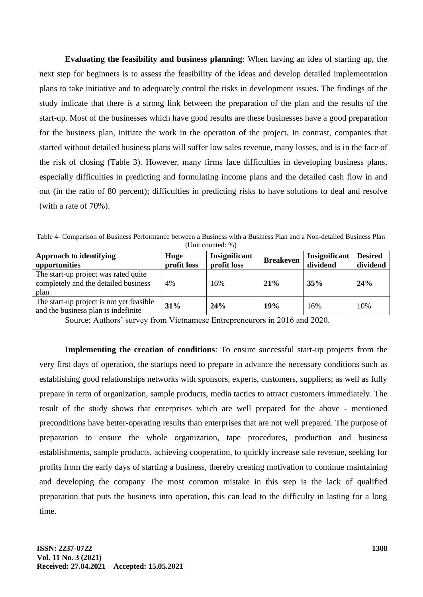**Evaluating the feasibility and business planning**: When having an idea of starting up, the next step for beginners is to assess the feasibility of the ideas and develop detailed implementation plans to take initiative and to adequately control the risks in development issues. The findings of the study indicate that there is a strong link between the preparation of the plan and the results of the start-up. Most of the businesses which have good results are these businesses have a good preparation for the business plan, initiate the work in the operation of the project. In contrast, companies that started without detailed business plans will suffer low sales revenue, many losses, and is in the face of the risk of closing (Table 3). However, many firms face difficulties in developing business plans, especially difficulties in predicting and formulating income plans and the detailed cash flow in and out (in the ratio of 80 percent); difficulties in predicting risks to have solutions to deal and resolve (with a rate of 70%).

Table 4- Comparison of Business Performance between a Business with a Business Plan and a Non-detailed Business Plan (Unit counted: %)

| <b>Approach to identifying</b><br>opportunities                                      | Huge<br>profit loss | Insignificant<br>profit loss | <b>Breakeven</b> | Insignificant<br>dividend | <b>Desired</b><br>dividend |
|--------------------------------------------------------------------------------------|---------------------|------------------------------|------------------|---------------------------|----------------------------|
| The start-up project was rated quite<br>completely and the detailed business<br>plan | 4%                  | 16%                          | 21%              | 35%                       | 24%                        |
| The start-up project is not yet feasible<br>and the business plan is indefinite      | 31%                 | 24%                          | 19%              | 16%                       | 10%                        |

Source: Authors' survey from Vietnamese Entrepreneurors in 2016 and 2020.

**Implementing the creation of conditions**: To ensure successful start-up projects from the very first days of operation, the startups need to prepare in advance the necessary conditions such as establishing good relationships networks with sponsors, experts, customers, suppliers; as well as fully prepare in term of organization, sample products, media tactics to attract customers immediately. The result of the study shows that enterprises which are well prepared for the above - mentioned preconditions have better-operating results than enterprises that are not well prepared. The purpose of preparation to ensure the whole organization, tape procedures, production and business establishments, sample products, achieving cooperation, to quickly increase sale revenue, seeking for profits from the early days of starting a business, thereby creating motivation to continue maintaining and developing the company The most common mistake in this step is the lack of qualified preparation that puts the business into operation, this can lead to the difficulty in lasting for a long time.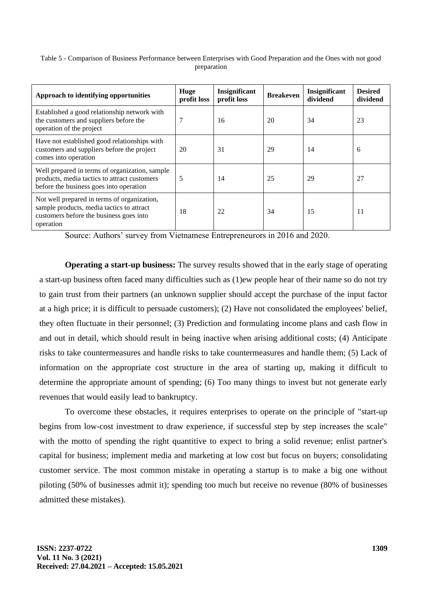| Table 5 - Comparison of Business Performance between Enterprises with Good Preparation and the Ones with not good |  |
|-------------------------------------------------------------------------------------------------------------------|--|
| preparation                                                                                                       |  |

| Approach to identifying opportunities                                                                                                            | Huge<br>profit loss | Insignificant<br>profit loss | <b>Breakeven</b> | Insignificant<br>dividend | <b>Desired</b><br>dividend |
|--------------------------------------------------------------------------------------------------------------------------------------------------|---------------------|------------------------------|------------------|---------------------------|----------------------------|
| Established a good relationship network with<br>the customers and suppliers before the<br>operation of the project                               | 7                   | 16                           | 20               | 34                        | 23                         |
| Have not established good relationships with<br>customers and suppliers before the project<br>comes into operation                               | 20                  | 31                           | 29               | 14                        | 6                          |
| Well prepared in terms of organization, sample<br>products, media tactics to attract customers<br>before the business goes into operation        | 5                   | 14                           | 25               | 29                        | 27                         |
| Not well prepared in terms of organization,<br>sample products, media tactics to attract<br>customers before the business goes into<br>operation | 18                  | 22                           | 34               | 15                        | 11                         |

Source: Authors' survey from Vietnamese Entrepreneurors in 2016 and 2020.

**Operating a start-up business:** The survey results showed that in the early stage of operating a start-up business often faced many difficulties such as (1)ew people hear of their name so do not try to gain trust from their partners (an unknown supplier should accept the purchase of the input factor at a high price; it is difficult to persuade customers); (2) Have not consolidated the employees' belief, they often fluctuate in their personnel; (3) Prediction and formulating income plans and cash flow in and out in detail, which should result in being inactive when arising additional costs; (4) Anticipate risks to take countermeasures and handle risks to take countermeasures and handle them; (5) Lack of information on the appropriate cost structure in the area of starting up, making it difficult to determine the appropriate amount of spending; (6) Too many things to invest but not generate early revenues that would easily lead to bankruptcy.

To overcome these obstacles, it requires enterprises to operate on the principle of "start-up begins from low-cost investment to draw experience, if successful step by step increases the scale" with the motto of spending the right quantitive to expect to bring a solid revenue; enlist partner's capital for business; implement media and marketing at low cost but focus on buyers; consolidating customer service. The most common mistake in operating a startup is to make a big one without piloting (50% of businesses admit it); spending too much but receive no revenue (80% of businesses admitted these mistakes).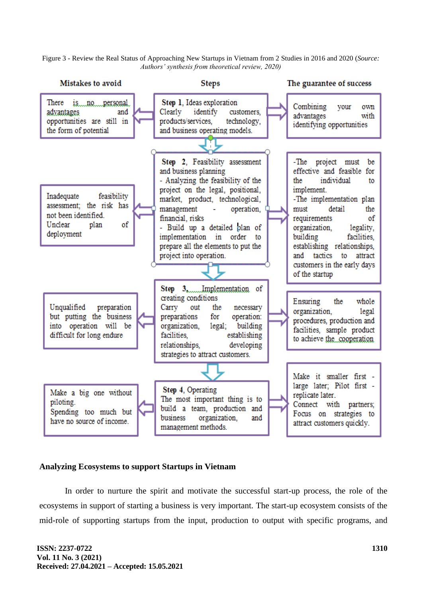Figure 3 - Review the Real Status of Approaching New Startups in Vietnam from 2 Studies in 2016 and 2020 (*Source: Authors' synthesis from theoretical review, 2020)*



# **Analyzing Ecosystems to support Startups in Vietnam**

In order to nurture the spirit and motivate the successful start-up process, the role of the ecosystems in support of starting a business is very important. The start-up ecosystem consists of the mid-role of supporting startups from the input, production to output with specific programs, and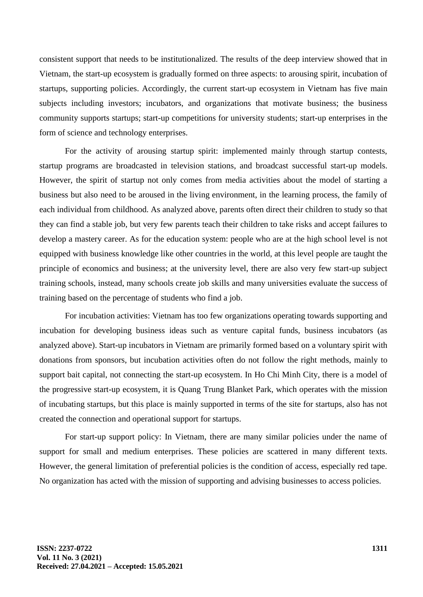consistent support that needs to be institutionalized. The results of the deep interview showed that in Vietnam, the start-up ecosystem is gradually formed on three aspects: to arousing spirit, incubation of startups, supporting policies. Accordingly, the current start-up ecosystem in Vietnam has five main subjects including investors; incubators, and organizations that motivate business; the business community supports startups; start-up competitions for university students; start-up enterprises in the form of science and technology enterprises.

For the activity of arousing startup spirit: implemented mainly through startup contests, startup programs are broadcasted in television stations, and broadcast successful start-up models. However, the spirit of startup not only comes from media activities about the model of starting a business but also need to be aroused in the living environment, in the learning process, the family of each individual from childhood. As analyzed above, parents often direct their children to study so that they can find a stable job, but very few parents teach their children to take risks and accept failures to develop a mastery career. As for the education system: people who are at the high school level is not equipped with business knowledge like other countries in the world, at this level people are taught the principle of economics and business; at the university level, there are also very few start-up subject training schools, instead, many schools create job skills and many universities evaluate the success of training based on the percentage of students who find a job.

For incubation activities: Vietnam has too few organizations operating towards supporting and incubation for developing business ideas such as venture capital funds, business incubators (as analyzed above). Start-up incubators in Vietnam are primarily formed based on a voluntary spirit with donations from sponsors, but incubation activities often do not follow the right methods, mainly to support bait capital, not connecting the start-up ecosystem. In Ho Chi Minh City, there is a model of the progressive start-up ecosystem, it is Quang Trung Blanket Park, which operates with the mission of incubating startups, but this place is mainly supported in terms of the site for startups, also has not created the connection and operational support for startups.

For start-up support policy: In Vietnam, there are many similar policies under the name of support for small and medium enterprises. These policies are scattered in many different texts. However, the general limitation of preferential policies is the condition of access, especially red tape. No organization has acted with the mission of supporting and advising businesses to access policies.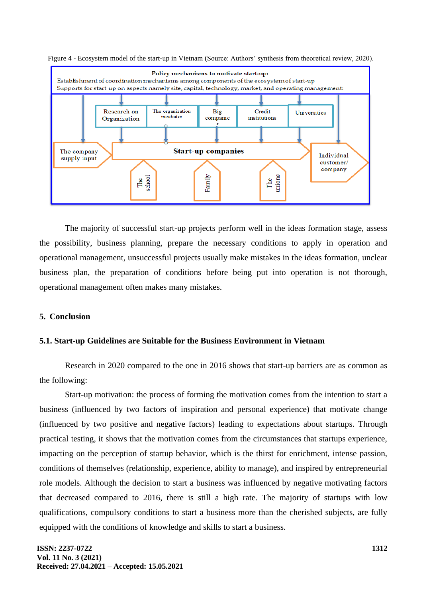Figure 4 - Ecosystem model of the start-up in Vietnam (Source: Authors' synthesis from theoretical review, 2020).



The majority of successful start-up projects perform well in the ideas formation stage, assess the possibility, business planning, prepare the necessary conditions to apply in operation and operational management, unsuccessful projects usually make mistakes in the ideas formation, unclear business plan, the preparation of conditions before being put into operation is not thorough, operational management often makes many mistakes.

# **5. Conclusion**

# **5.1. Start-up Guidelines are Suitable for the Business Environment in Vietnam**

Research in 2020 compared to the one in 2016 shows that start-up barriers are as common as the following:

Start-up motivation: the process of forming the motivation comes from the intention to start a business (influenced by two factors of inspiration and personal experience) that motivate change (influenced by two positive and negative factors) leading to expectations about startups. Through practical testing, it shows that the motivation comes from the circumstances that startups experience, impacting on the perception of startup behavior, which is the thirst for enrichment, intense passion, conditions of themselves (relationship, experience, ability to manage), and inspired by entrepreneurial role models. Although the decision to start a business was influenced by negative motivating factors that decreased compared to 2016, there is still a high rate. The majority of startups with low qualifications, compulsory conditions to start a business more than the cherished subjects, are fully equipped with the conditions of knowledge and skills to start a business.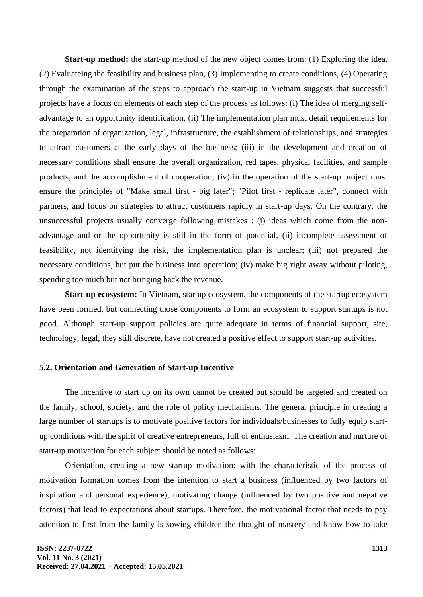**Start-up method:** the start-up method of the new object comes from: (1) Exploring the idea, (2) Evaluateing the feasibility and business plan, (3) Implementing to create conditions, (4) Operating through the examination of the steps to approach the start-up in Vietnam suggests that successful projects have a focus on elements of each step of the process as follows: (i) The idea of merging selfadvantage to an opportunity identification, (ii) The implementation plan must detail requirements for the preparation of organization, legal, infrastructure, the establishment of relationships, and strategies to attract customers at the early days of the business; (iii) in the development and creation of necessary conditions shall ensure the overall organization, red tapes, physical facilities, and sample products, and the accomplishment of cooperation; (iv) in the operation of the start-up project must ensure the principles of "Make small first - big later"; "Pilot first - replicate later", connect with partners, and focus on strategies to attract customers rapidly in start-up days. On the contrary, the unsuccessful projects usually converge following mistakes : (i) ideas which come from the nonadvantage and or the opportunity is still in the form of potential, (ii) incomplete assessment of feasibility, not identifying the risk, the implementation plan is unclear; (iii) not prepared the necessary conditions, but put the business into operation; (iv) make big right away without piloting, spending too much but not bringing back the revenue.

**Start-up ecosystem:** In Vietnam, startup ecosystem, the components of the startup ecosystem have been formed, but connecting those components to form an ecosystem to support startups is not good. Although start-up support policies are quite adequate in terms of financial support, site, technology, legal, they still discrete, have not created a positive effect to support start-up activities.

#### **5.2. Orientation and Generation of Start-up Incentive**

The incentive to start up on its own cannot be created but should be targeted and created on the family, school, society, and the role of policy mechanisms. The general principle in creating a large number of startups is to motivate positive factors for individuals/businesses to fully equip startup conditions with the spirit of creative entrepreneurs, full of enthusiasm. The creation and nurture of start-up motivation for each subject should be noted as follows:

Orientation, creating a new startup motivation: with the characteristic of the process of motivation formation comes from the intention to start a business (influenced by two factors of inspiration and personal experience), motivating change (influenced by two positive and negative factors) that lead to expectations about startups. Therefore, the motivational factor that needs to pay attention to first from the family is sowing children the thought of mastery and know-how to take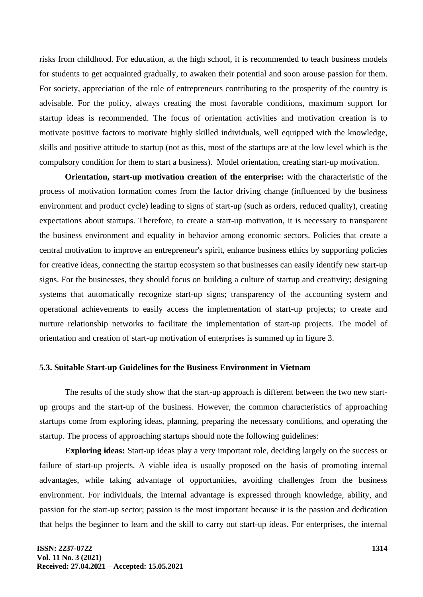risks from childhood. For education, at the high school, it is recommended to teach business models for students to get acquainted gradually, to awaken their potential and soon arouse passion for them. For society, appreciation of the role of entrepreneurs contributing to the prosperity of the country is advisable. For the policy, always creating the most favorable conditions, maximum support for startup ideas is recommended. The focus of orientation activities and motivation creation is to motivate positive factors to motivate highly skilled individuals, well equipped with the knowledge, skills and positive attitude to startup (not as this, most of the startups are at the low level which is the compulsory condition for them to start a business). Model orientation, creating start-up motivation.

**Orientation, start-up motivation creation of the enterprise:** with the characteristic of the process of motivation formation comes from the factor driving change (influenced by the business environment and product cycle) leading to signs of start-up (such as orders, reduced quality), creating expectations about startups. Therefore, to create a start-up motivation, it is necessary to transparent the business environment and equality in behavior among economic sectors. Policies that create a central motivation to improve an entrepreneur's spirit, enhance business ethics by supporting policies for creative ideas, connecting the startup ecosystem so that businesses can easily identify new start-up signs. For the businesses, they should focus on building a culture of startup and creativity; designing systems that automatically recognize start-up signs; transparency of the accounting system and operational achievements to easily access the implementation of start-up projects; to create and nurture relationship networks to facilitate the implementation of start-up projects. The model of orientation and creation of start-up motivation of enterprises is summed up in figure 3.

#### **5.3. Suitable Start-up Guidelines for the Business Environment in Vietnam**

The results of the study show that the start-up approach is different between the two new startup groups and the start-up of the business. However, the common characteristics of approaching startups come from exploring ideas, planning, preparing the necessary conditions, and operating the startup. The process of approaching startups should note the following guidelines:

**Exploring ideas:** Start-up ideas play a very important role, deciding largely on the success or failure of start-up projects. A viable idea is usually proposed on the basis of promoting internal advantages, while taking advantage of opportunities, avoiding challenges from the business environment. For individuals, the internal advantage is expressed through knowledge, ability, and passion for the start-up sector; passion is the most important because it is the passion and dedication that helps the beginner to learn and the skill to carry out start-up ideas. For enterprises, the internal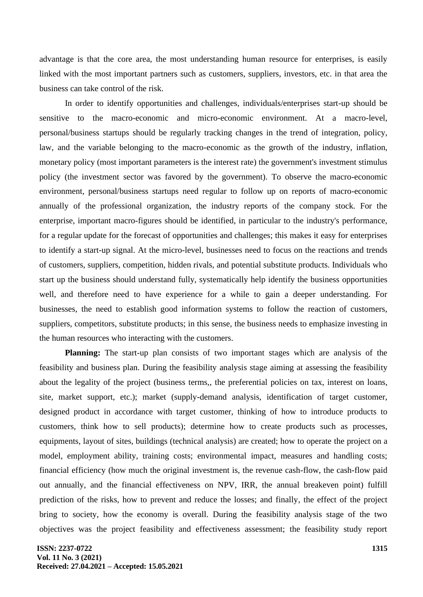advantage is that the core area, the most understanding human resource for enterprises, is easily linked with the most important partners such as customers, suppliers, investors, etc. in that area the business can take control of the risk.

In order to identify opportunities and challenges, individuals/enterprises start-up should be sensitive to the macro-economic and micro-economic environment. At a macro-level, personal/business startups should be regularly tracking changes in the trend of integration, policy, law, and the variable belonging to the macro-economic as the growth of the industry, inflation, monetary policy (most important parameters is the interest rate) the government's investment stimulus policy (the investment sector was favored by the government). To observe the macro-economic environment, personal/business startups need regular to follow up on reports of macro-economic annually of the professional organization, the industry reports of the company stock. For the enterprise, important macro-figures should be identified, in particular to the industry's performance, for a regular update for the forecast of opportunities and challenges; this makes it easy for enterprises to identify a start-up signal. At the micro-level, businesses need to focus on the reactions and trends of customers, suppliers, competition, hidden rivals, and potential substitute products. Individuals who start up the business should understand fully, systematically help identify the business opportunities well, and therefore need to have experience for a while to gain a deeper understanding. For businesses, the need to establish good information systems to follow the reaction of customers, suppliers, competitors, substitute products; in this sense, the business needs to emphasize investing in the human resources who interacting with the customers.

**Planning:** The start-up plan consists of two important stages which are analysis of the feasibility and business plan. During the feasibility analysis stage aiming at assessing the feasibility about the legality of the project (business terms,, the preferential policies on tax, interest on loans, site, market support, etc.); market (supply-demand analysis, identification of target customer, designed product in accordance with target customer, thinking of how to introduce products to customers, think how to sell products); determine how to create products such as processes, equipments, layout of sites, buildings (technical analysis) are created; how to operate the project on a model, employment ability, training costs; environmental impact, measures and handling costs; financial efficiency (how much the original investment is, the revenue cash-flow, the cash-flow paid out annually, and the financial effectiveness on NPV, IRR, the annual breakeven point) fulfill prediction of the risks, how to prevent and reduce the losses; and finally, the effect of the project bring to society, how the economy is overall. During the feasibility analysis stage of the two objectives was the project feasibility and effectiveness assessment; the feasibility study report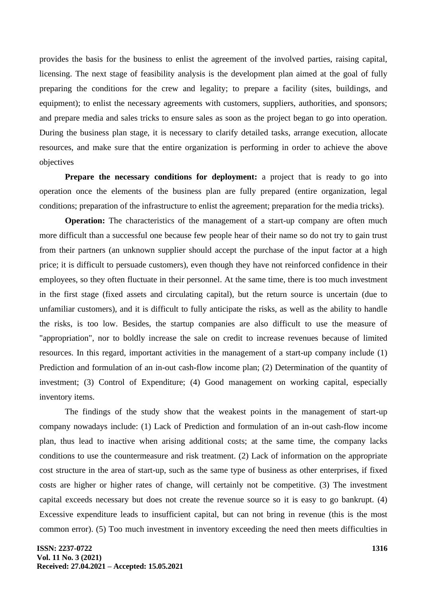provides the basis for the business to enlist the agreement of the involved parties, raising capital, licensing. The next stage of feasibility analysis is the development plan aimed at the goal of fully preparing the conditions for the crew and legality; to prepare a facility (sites, buildings, and equipment); to enlist the necessary agreements with customers, suppliers, authorities, and sponsors; and prepare media and sales tricks to ensure sales as soon as the project began to go into operation. During the business plan stage, it is necessary to clarify detailed tasks, arrange execution, allocate resources, and make sure that the entire organization is performing in order to achieve the above objectives

**Prepare the necessary conditions for deployment:** a project that is ready to go into operation once the elements of the business plan are fully prepared (entire organization, legal conditions; preparation of the infrastructure to enlist the agreement; preparation for the media tricks).

**Operation:** The characteristics of the management of a start-up company are often much more difficult than a successful one because few people hear of their name so do not try to gain trust from their partners (an unknown supplier should accept the purchase of the input factor at a high price; it is difficult to persuade customers), even though they have not reinforced confidence in their employees, so they often fluctuate in their personnel. At the same time, there is too much investment in the first stage (fixed assets and circulating capital), but the return source is uncertain (due to unfamiliar customers), and it is difficult to fully anticipate the risks, as well as the ability to handle the risks, is too low. Besides, the startup companies are also difficult to use the measure of "appropriation", nor to boldly increase the sale on credit to increase revenues because of limited resources. In this regard, important activities in the management of a start-up company include (1) Prediction and formulation of an in-out cash-flow income plan; (2) Determination of the quantity of investment; (3) Control of Expenditure; (4) Good management on working capital, especially inventory items.

The findings of the study show that the weakest points in the management of start-up company nowadays include: (1) Lack of Prediction and formulation of an in-out cash-flow income plan, thus lead to inactive when arising additional costs; at the same time, the company lacks conditions to use the countermeasure and risk treatment. (2) Lack of information on the appropriate cost structure in the area of start-up, such as the same type of business as other enterprises, if fixed costs are higher or higher rates of change, will certainly not be competitive. (3) The investment capital exceeds necessary but does not create the revenue source so it is easy to go bankrupt. (4) Excessive expenditure leads to insufficient capital, but can not bring in revenue (this is the most common error). (5) Too much investment in inventory exceeding the need then meets difficulties in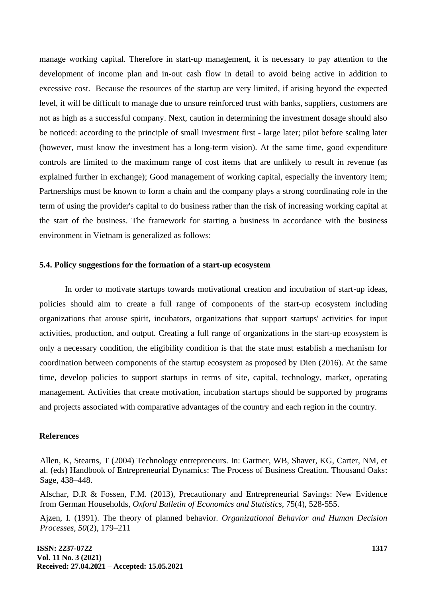manage working capital. Therefore in start-up management, it is necessary to pay attention to the development of income plan and in-out cash flow in detail to avoid being active in addition to excessive cost. Because the resources of the startup are very limited, if arising beyond the expected level, it will be difficult to manage due to unsure reinforced trust with banks, suppliers, customers are not as high as a successful company. Next, caution in determining the investment dosage should also be noticed: according to the principle of small investment first - large later; pilot before scaling later (however, must know the investment has a long-term vision). At the same time, good expenditure controls are limited to the maximum range of cost items that are unlikely to result in revenue (as explained further in exchange); Good management of working capital, especially the inventory item; Partnerships must be known to form a chain and the company plays a strong coordinating role in the term of using the provider's capital to do business rather than the risk of increasing working capital at the start of the business. The framework for starting a business in accordance with the business environment in Vietnam is generalized as follows:

### **5.4. Policy suggestions for the formation of a start-up ecosystem**

In order to motivate startups towards motivational creation and incubation of start-up ideas, policies should aim to create a full range of components of the start-up ecosystem including organizations that arouse spirit, incubators, organizations that support startups' activities for input activities, production, and output. Creating a full range of organizations in the start-up ecosystem is only a necessary condition, the eligibility condition is that the state must establish a mechanism for coordination between components of the startup ecosystem as proposed by Dien (2016). At the same time, develop policies to support startups in terms of site, capital, technology, market, operating management. Activities that create motivation, incubation startups should be supported by programs and projects associated with comparative advantages of the country and each region in the country.

#### **References**

Allen, K, Stearns, T (2004) Technology entrepreneurs. In: Gartner, WB, Shaver, KG, Carter, NM, et al. (eds) Handbook of Entrepreneurial Dynamics: The Process of Business Creation. Thousand Oaks: Sage, 438–448.

Afschar, D.R & Fossen, F.M. (2013), Precautionary and Entrepreneurial Savings: New Evidence from German Households, *Oxford Bulletin of Economics and Statistics,* 75(4), 528-555.

Ajzen, I. (1991). The theory of planned behavior. *Organizational Behavior and Human Decision Processes, 50*(2), 179–211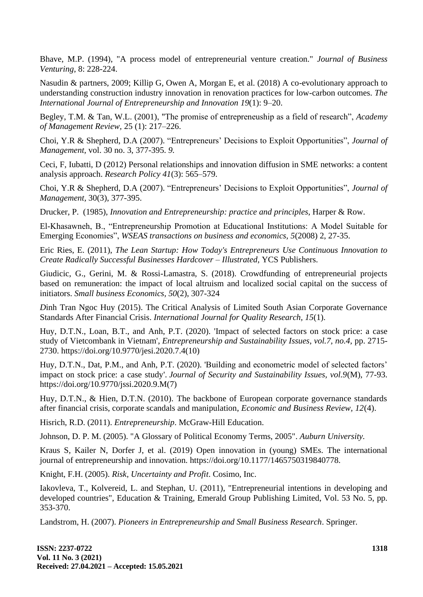Bhave, M.P. (1994), "A process model of entrepreneurial venture creation." *Journal of Business Venturing*, 8: 228-224.

Nasudin & partners, 2009; Killip G, Owen A, Morgan E, et al. (2018) A co-evolutionary approach to understanding construction industry innovation in renovation practices for low-carbon outcomes. *The International Journal of Entrepreneurship and Innovation 19*(1): 9–20.

Begley, T.M. & Tan, W.L. (2001), "The promise of entrepreneuship as a field of research", *Academy of Management Review,* 25 (1): 217–226.

Choi, Y.R & Shepherd, D.A (2007). "Entrepreneurs' Decisions to Exploit Opportunities", *Journal of Management,* vol. 30 no. 3, 377-395. *9.*

Ceci, F, Iubatti, D (2012) Personal relationships and innovation diffusion in SME networks: a content analysis approach. *Research Policy 41*(3): 565–579.

Choi, Y.R & Shepherd, D.A (2007). "Entrepreneurs' Decisions to Exploit Opportunities", *Journal of Management,* 30(3), 377-395.

Drucker, P. (1985), *Innovation and Entrepreneurship: practice and principles*, Harper & Row.

El-Khasawneh, B., "Entrepreneurship Promotion at Educational Institutions: A Model Suitable for Emerging Economies", *WSEAS transactions on business and economics, 5*(2008) 2, 27-35.

Eric Ries, E. (2011), *The Lean Startup: How Today's Entrepreneurs Use Continuous Innovation to Create Radically Successful Businesses Hardcover – Illustrated,* YCS Publishers.

Giudicic, G., Gerini, M. & Rossi-Lamastra, S. (2018). Crowdfunding of entrepreneurial projects based on remuneration: the impact of local altruism and localized social capital on the success of initiators. *Small business Economics, 50*(2), 307-324

*D*inh Tran Ngoc Huy (2015). The Critical Analysis of Limited South Asian Corporate Governance Standards After Financial Crisis. *International Journal for Quality Research, 15*(1).

Huy, D.T.N., Loan, B.T., and Anh, P.T. (2020). 'Impact of selected factors on stock price: a case study of Vietcombank in Vietnam', *Entrepreneurship and Sustainability Issues, vol.7, no.4,* pp. 2715- 2730. https://doi.org/10.9770/jesi.2020.7.4(10)

Huy, D.T.N., Dat, P.M., and Anh, P.T. (2020). 'Building and econometric model of selected factors' impact on stock price: a case study'. *Journal of Security and Sustainability Issues, vol.9*(M), 77-93. https://doi.org/10.9770/jssi.2020.9.M(7)

Huy, D.T.N., & Hien, D.T.N. (2010). The backbone of European corporate governance standards after financial crisis, corporate scandals and manipulation, *Economic and Business Review, 12*(4).

Hisrich, R.D. (2011). *Entrepreneurship*. McGraw-Hill Education.

Johnson, D. P. M. (2005). "A Glossary of Political Economy Terms, 2005". *Auburn University.*

Kraus S, Kailer N, Dorfer J, et al. (2019) Open innovation in (young) SMEs. The international journal of entrepreneurship and innovation. https://doi.org/10.1177/1465750319840778.

Knight, F.H. (2005). *Risk, Uncertainty and Profit*. Cosimo, Inc.

Iakovleva, T., Kolvereid, L. and Stephan, U. (2011), "Entrepreneurial intentions in developing and developed countries", Education & Training, Emerald Group Publishing Limited, Vol. 53 No. 5, pp. 353-370.

Landstrom, H. (2007). *Pioneers in Entrepreneurship and Small Business Research*. Springer.